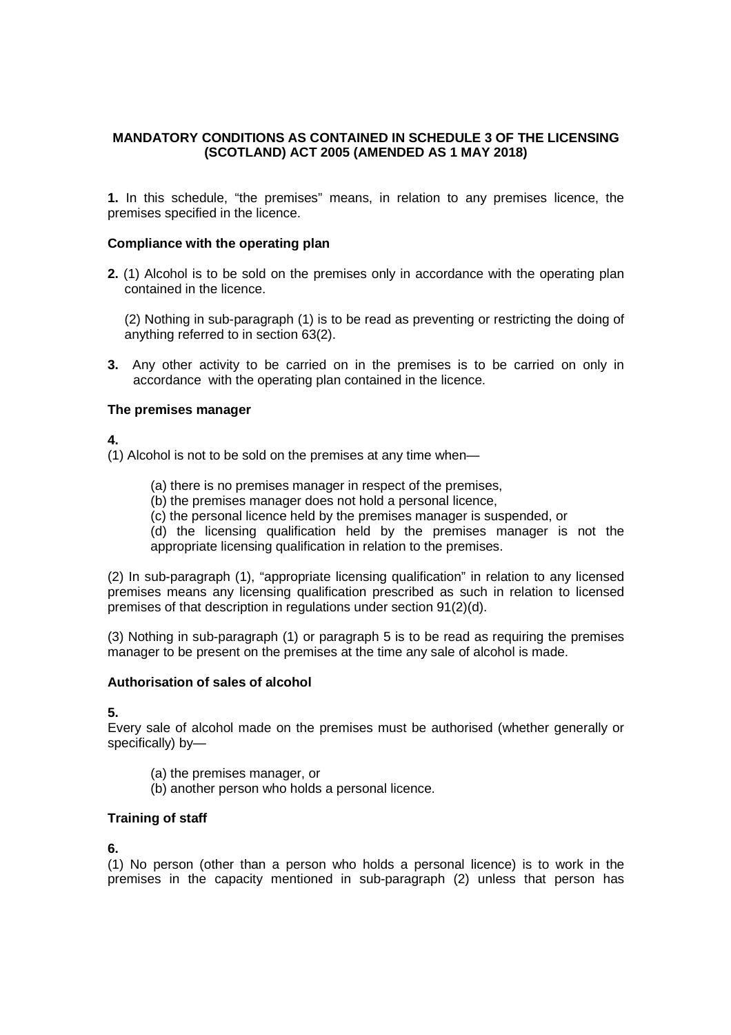# **MANDATORY CONDITIONS AS CONTAINED IN SCHEDULE 3 OF THE LICENSING (SCOTLAND) ACT 2005 (AMENDED AS 1 MAY 2018)**

**1.** In this schedule, "the premises" means, in relation to any premises licence, the premises specified in the licence.

#### **Compliance with the operating plan**

**2.** (1) Alcohol is to be sold on the premises only in accordance with the operating plan contained in the licence.

(2) Nothing in sub-paragraph (1) is to be read as preventing or restricting the doing of anything referred to in section 63(2).

**3.** Any other activity to be carried on in the premises is to be carried on only in accordance with the operating plan contained in the licence.

#### **The premises manager**

#### **4.**

(1) Alcohol is not to be sold on the premises at any time when—

- (a) there is no premises manager in respect of the premises,
- (b) the premises manager does not hold a personal licence,
- (c) the personal licence held by the premises manager is suspended, or

(d) the licensing qualification held by the premises manager is not the appropriate licensing qualification in relation to the premises.

(2) In sub-paragraph (1), "appropriate licensing qualification" in relation to any licensed premises means any licensing qualification prescribed as such in relation to licensed premises of that description in regulations under section 91(2)(d).

(3) Nothing in sub-paragraph (1) or paragraph 5 is to be read as requiring the premises manager to be present on the premises at the time any sale of alcohol is made.

#### **Authorisation of sales of alcohol**

**5.** 

Every sale of alcohol made on the premises must be authorised (whether generally or specifically) by—

- (a) the premises manager, or
- (b) another person who holds a personal licence.

#### **Training of staff**

#### **6.**

(1) No person (other than a person who holds a personal licence) is to work in the premises in the capacity mentioned in sub-paragraph (2) unless that person has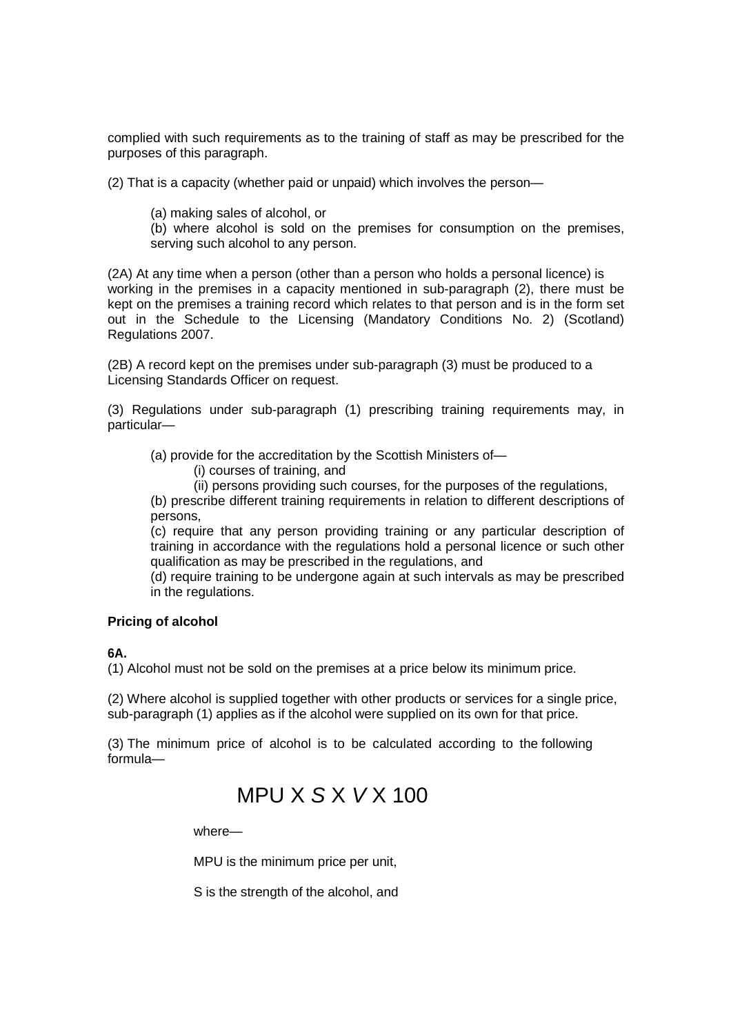complied with such requirements as to the training of staff as may be prescribed for the purposes of this paragraph.

(2) That is a capacity (whether paid or unpaid) which involves the person—

(a) making sales of alcohol, or

(b) where alcohol is sold on the premises for consumption on the premises, serving such alcohol to any person.

(2A) At any time when a person (other than a person who holds a personal licence) is working in the premises in a capacity mentioned in sub-paragraph (2), there must be kept on the premises a training record which relates to that person and is in the form set out in the Schedule to the Licensing (Mandatory Conditions No. 2) (Scotland) Regulations 2007.

(2B) A record kept on the premises under sub-paragraph (3) must be produced to a Licensing Standards Officer on request.

(3) Regulations under sub-paragraph (1) prescribing training requirements may, in particular—

(a) provide for the accreditation by the Scottish Ministers of—

(i) courses of training, and

(ii) persons providing such courses, for the purposes of the regulations,

(b) prescribe different training requirements in relation to different descriptions of persons,

(c) require that any person providing training or any particular description of training in accordance with the regulations hold a personal licence or such other qualification as may be prescribed in the regulations, and

(d) require training to be undergone again at such intervals as may be prescribed in the regulations.

#### **Pricing of alcohol**

#### **6A.**

(1) Alcohol must not be sold on the premises at a price below its minimum price.

(2) Where alcohol is supplied together with other products or services for a single price, sub-paragraph (1) applies as if the alcohol were supplied on its own for that price.

(3) The minimum price of alcohol is to be calculated according to the following formula—

# $MPU X S X V X 100$

where—

MPU is the minimum price per unit,

S is the strength of the alcohol, and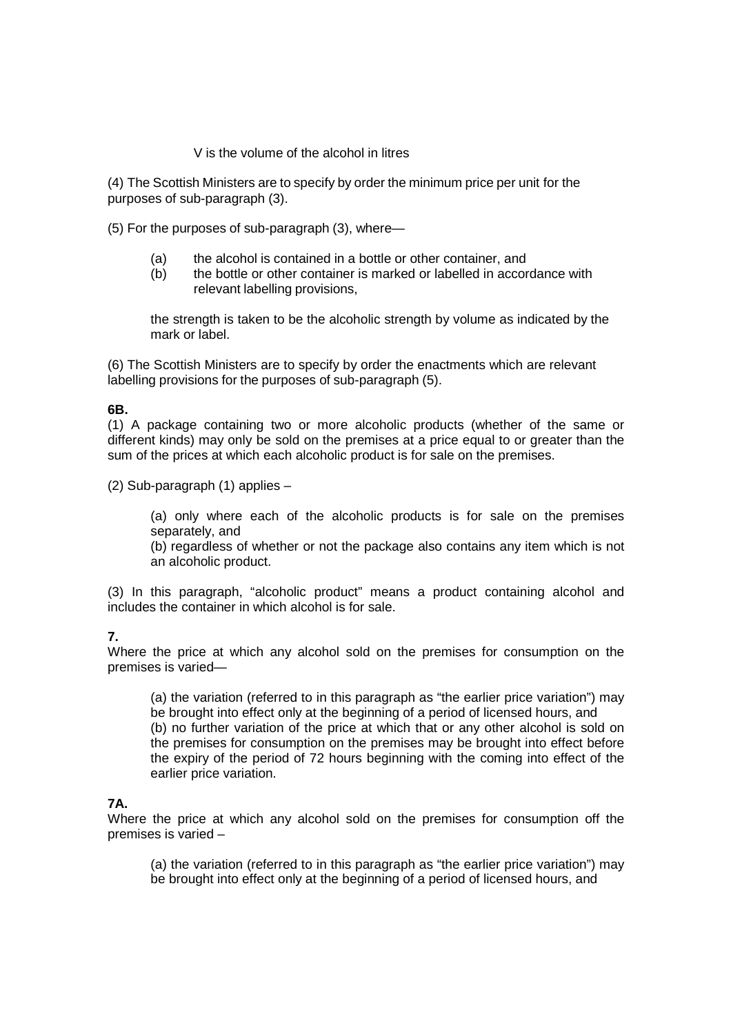V is the volume of the alcohol in litres

(4) The Scottish Ministers are to specify by order the minimum price per unit for the purposes of sub-paragraph (3).

(5) For the purposes of sub-paragraph (3), where—

- (a) the alcohol is contained in a bottle or other container, and
- (b) the bottle or other container is marked or labelled in accordance with relevant labelling provisions,

the strength is taken to be the alcoholic strength by volume as indicated by the mark or label.

(6) The Scottish Ministers are to specify by order the enactments which are relevant labelling provisions for the purposes of sub-paragraph (5).

## **6B.**

(1) A package containing two or more alcoholic products (whether of the same or different kinds) may only be sold on the premises at a price equal to or greater than the sum of the prices at which each alcoholic product is for sale on the premises.

(2) Sub-paragraph (1) applies –

(a) only where each of the alcoholic products is for sale on the premises separately, and

(b) regardless of whether or not the package also contains any item which is not an alcoholic product.

(3) In this paragraph, "alcoholic product" means a product containing alcohol and includes the container in which alcohol is for sale.

## **7.**

Where the price at which any alcohol sold on the premises for consumption on the premises is varied—

(a) the variation (referred to in this paragraph as "the earlier price variation") may be brought into effect only at the beginning of a period of licensed hours, and (b) no further variation of the price at which that or any other alcohol is sold on the premises for consumption on the premises may be brought into effect before the expiry of the period of 72 hours beginning with the coming into effect of the earlier price variation.

## **7A.**

Where the price at which any alcohol sold on the premises for consumption off the premises is varied –

(a) the variation (referred to in this paragraph as "the earlier price variation") may be brought into effect only at the beginning of a period of licensed hours, and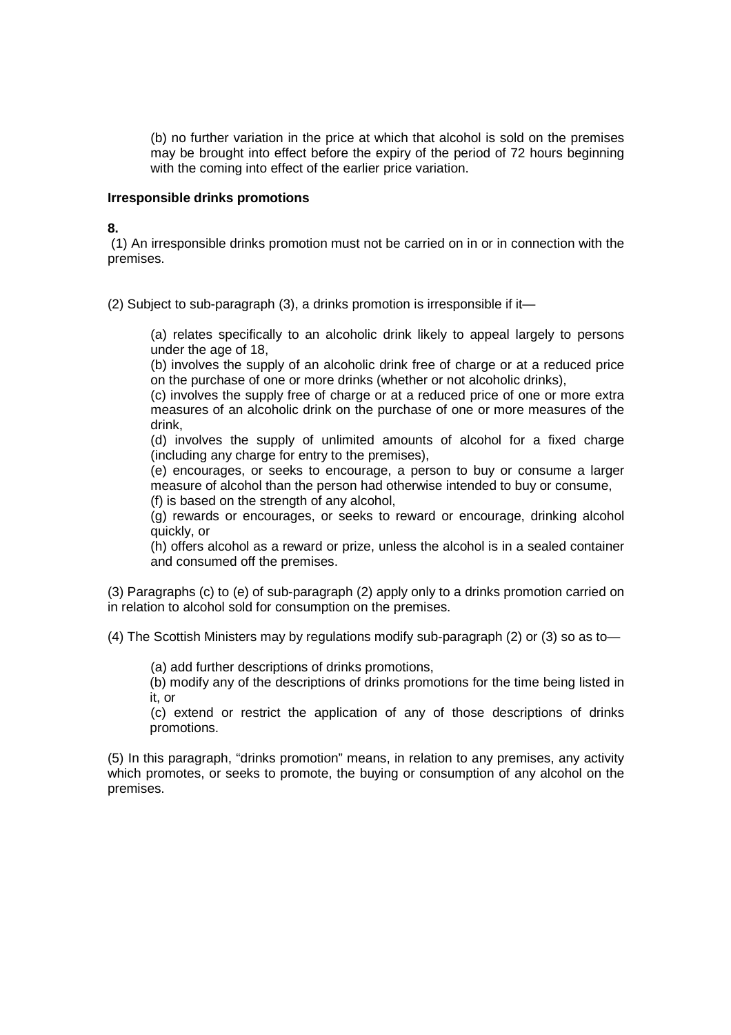(b) no further variation in the price at which that alcohol is sold on the premises may be brought into effect before the expiry of the period of 72 hours beginning with the coming into effect of the earlier price variation.

#### **Irresponsible drinks promotions**

#### **8.**

 (1) An irresponsible drinks promotion must not be carried on in or in connection with the premises.

(2) Subject to sub-paragraph (3), a drinks promotion is irresponsible if it—

(a) relates specifically to an alcoholic drink likely to appeal largely to persons under the age of 18,

(b) involves the supply of an alcoholic drink free of charge or at a reduced price on the purchase of one or more drinks (whether or not alcoholic drinks),

(c) involves the supply free of charge or at a reduced price of one or more extra measures of an alcoholic drink on the purchase of one or more measures of the drink,

(d) involves the supply of unlimited amounts of alcohol for a fixed charge (including any charge for entry to the premises),

(e) encourages, or seeks to encourage, a person to buy or consume a larger measure of alcohol than the person had otherwise intended to buy or consume, (f) is based on the strength of any alcohol,

(g) rewards or encourages, or seeks to reward or encourage, drinking alcohol quickly, or

(h) offers alcohol as a reward or prize, unless the alcohol is in a sealed container and consumed off the premises.

(3) Paragraphs (c) to (e) of sub-paragraph (2) apply only to a drinks promotion carried on in relation to alcohol sold for consumption on the premises.

(4) The Scottish Ministers may by regulations modify sub-paragraph (2) or (3) so as to—

(a) add further descriptions of drinks promotions,

(b) modify any of the descriptions of drinks promotions for the time being listed in it, or

(c) extend or restrict the application of any of those descriptions of drinks promotions.

(5) In this paragraph, "drinks promotion" means, in relation to any premises, any activity which promotes, or seeks to promote, the buying or consumption of any alcohol on the premises.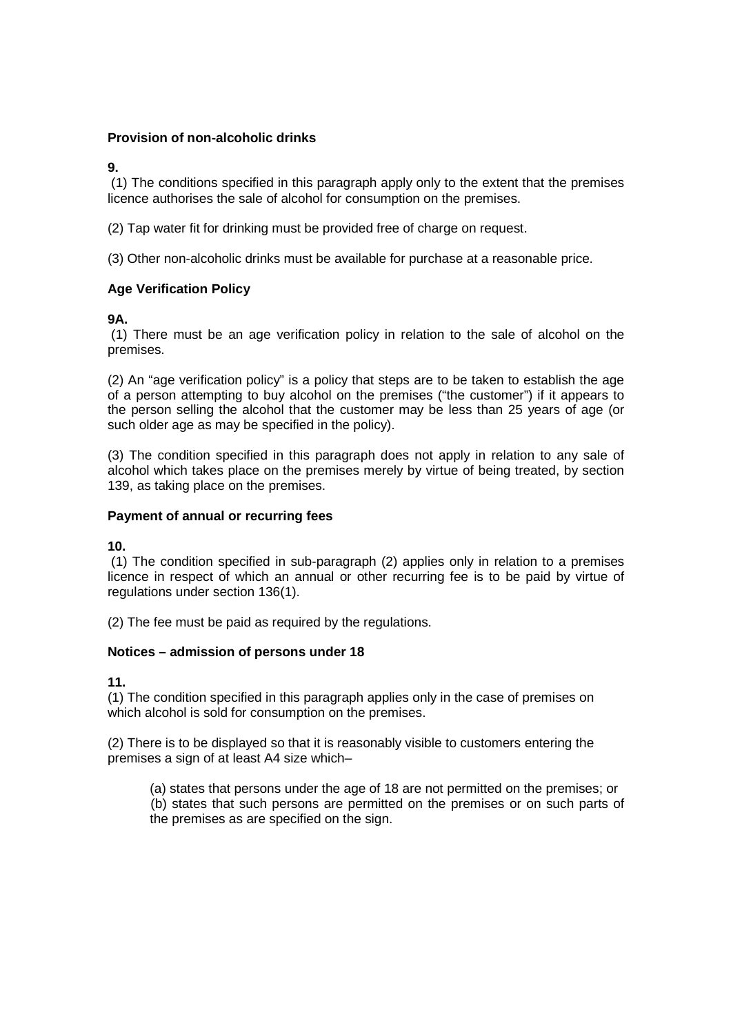## **Provision of non-alcoholic drinks**

#### **9.**

 (1) The conditions specified in this paragraph apply only to the extent that the premises licence authorises the sale of alcohol for consumption on the premises.

(2) Tap water fit for drinking must be provided free of charge on request.

(3) Other non-alcoholic drinks must be available for purchase at a reasonable price.

## **Age Verification Policy**

## **9A.**

 (1) There must be an age verification policy in relation to the sale of alcohol on the premises.

(2) An "age verification policy" is a policy that steps are to be taken to establish the age of a person attempting to buy alcohol on the premises ("the customer") if it appears to the person selling the alcohol that the customer may be less than 25 years of age (or such older age as may be specified in the policy).

(3) The condition specified in this paragraph does not apply in relation to any sale of alcohol which takes place on the premises merely by virtue of being treated, by section 139, as taking place on the premises.

### **Payment of annual or recurring fees**

#### **10.**

 (1) The condition specified in sub-paragraph (2) applies only in relation to a premises licence in respect of which an annual or other recurring fee is to be paid by virtue of regulations under section 136(1).

(2) The fee must be paid as required by the regulations.

#### **Notices – admission of persons under 18**

## **11.**

(1) The condition specified in this paragraph applies only in the case of premises on which alcohol is sold for consumption on the premises.

(2) There is to be displayed so that it is reasonably visible to customers entering the premises a sign of at least A4 size which–

(a) states that persons under the age of 18 are not permitted on the premises; or (b) states that such persons are permitted on the premises or on such parts of the premises as are specified on the sign.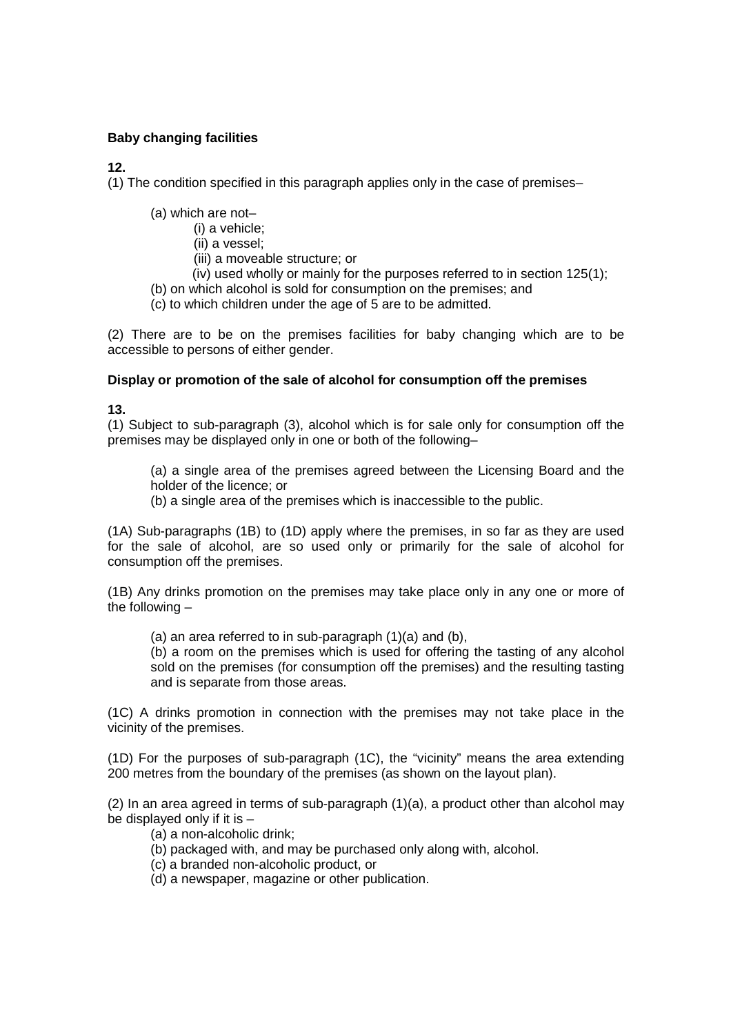# **Baby changing facilities**

# **12.**

(1) The condition specified in this paragraph applies only in the case of premises–

- (a) which are not–
	- (i) a vehicle;
	- (ii) a vessel;
	- (iii) a moveable structure; or
	- (iv) used wholly or mainly for the purposes referred to in section 125(1);
- (b) on which alcohol is sold for consumption on the premises; and
- (c) to which children under the age of 5 are to be admitted.

(2) There are to be on the premises facilities for baby changing which are to be accessible to persons of either gender.

## **Display or promotion of the sale of alcohol for consumption off the premises**

**13.**

(1) Subject to sub-paragraph (3), alcohol which is for sale only for consumption off the premises may be displayed only in one or both of the following–

(a) a single area of the premises agreed between the Licensing Board and the holder of the licence; or

(b) a single area of the premises which is inaccessible to the public.

(1A) Sub-paragraphs (1B) to (1D) apply where the premises, in so far as they are used for the sale of alcohol, are so used only or primarily for the sale of alcohol for consumption off the premises.

(1B) Any drinks promotion on the premises may take place only in any one or more of the following –

(a) an area referred to in sub-paragraph (1)(a) and (b),

(b) a room on the premises which is used for offering the tasting of any alcohol sold on the premises (for consumption off the premises) and the resulting tasting and is separate from those areas.

(1C) A drinks promotion in connection with the premises may not take place in the vicinity of the premises.

(1D) For the purposes of sub-paragraph (1C), the "vicinity" means the area extending 200 metres from the boundary of the premises (as shown on the layout plan).

(2) In an area agreed in terms of sub-paragraph (1)(a), a product other than alcohol may be displayed only if it is –

- (a) a non-alcoholic drink;
- (b) packaged with, and may be purchased only along with, alcohol.
- (c) a branded non-alcoholic product, or
- (d) a newspaper, magazine or other publication.